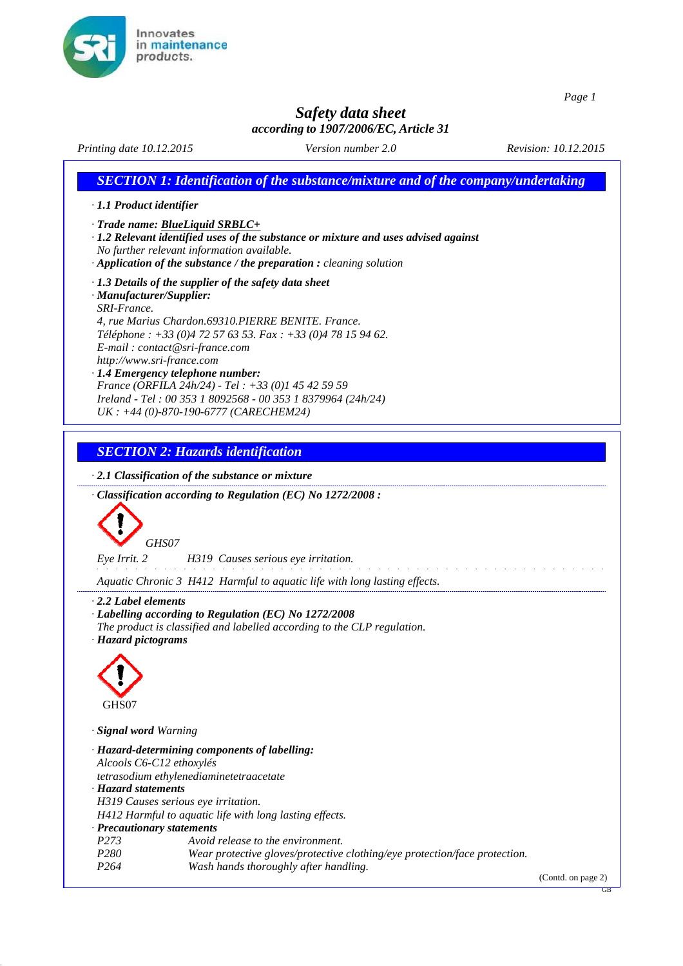

 $\lfloor$ 

*Page 1*

GB

# *Safety data sheet*

|                                                                                                  |                                                                                                                                                                                                                                           | according to 1907/2006/EC, Article 31                                               |                                                                                          |
|--------------------------------------------------------------------------------------------------|-------------------------------------------------------------------------------------------------------------------------------------------------------------------------------------------------------------------------------------------|-------------------------------------------------------------------------------------|------------------------------------------------------------------------------------------|
| Printing date 10.12.2015                                                                         |                                                                                                                                                                                                                                           | Version number 2.0                                                                  | Revision: 10.12.2015                                                                     |
|                                                                                                  |                                                                                                                                                                                                                                           |                                                                                     | <b>SECTION 1: Identification of the substance/mixture and of the company/undertaking</b> |
| $\cdot$ 1.1 Product identifier                                                                   |                                                                                                                                                                                                                                           |                                                                                     |                                                                                          |
| $\cdot$ Trade name: BlueLiquid SRBLC+                                                            | No further relevant information available.<br>$\cdot$ Application of the substance / the preparation : cleaning solution                                                                                                                  | · 1.2 Relevant identified uses of the substance or mixture and uses advised against |                                                                                          |
| · Manufacturer/Supplier:<br>SRI-France.                                                          | $\cdot$ 1.3 Details of the supplier of the safety data sheet                                                                                                                                                                              |                                                                                     |                                                                                          |
| E-mail: contact@sri-france.com<br>http://www.sri-france.com<br>· 1.4 Emergency telephone number: | 4, rue Marius Chardon.69310.PIERRE BENITE. France.<br>Téléphone : +33 (0)4 72 57 63 53. Fax : +33 (0)4 78 15 94 62.<br>France (ORFILA 24h/24) - Tel : +33 (0)1 45 42 59 59<br>Ireland - Tel: 00 353 1 8092568 - 00 353 1 8379964 (24h/24) |                                                                                     |                                                                                          |
|                                                                                                  | $UK: +44 (0) - 870 - 190 - 6777 (CARECHEM24)$                                                                                                                                                                                             |                                                                                     |                                                                                          |
|                                                                                                  | <b>SECTION 2: Hazards identification</b>                                                                                                                                                                                                  |                                                                                     |                                                                                          |
| GHS07<br>Eye Irrit. 2                                                                            | H319 Causes serious eye irritation.                                                                                                                                                                                                       |                                                                                     |                                                                                          |
|                                                                                                  |                                                                                                                                                                                                                                           | Aquatic Chronic 3 H412 Harmful to aquatic life with long lasting effects.           |                                                                                          |
| $\cdot$ 2.2 Label elements<br>· Hazard pictograms<br>GHS07                                       | · Labelling according to Regulation (EC) No 1272/2008                                                                                                                                                                                     | The product is classified and labelled according to the CLP regulation.             |                                                                                          |
| · Signal word Warning                                                                            |                                                                                                                                                                                                                                           |                                                                                     |                                                                                          |
| Alcools C6-C12 ethoxylés                                                                         | · Hazard-determining components of labelling:                                                                                                                                                                                             |                                                                                     |                                                                                          |
| · Hazard statements<br>H319 Causes serious eye irritation.                                       | tetrasodium ethylenediaminetetraacetate<br>H412 Harmful to aquatic life with long lasting effects.                                                                                                                                        |                                                                                     |                                                                                          |
| · Precautionary statements                                                                       |                                                                                                                                                                                                                                           |                                                                                     |                                                                                          |
| P <sub>273</sub><br>P <sub>280</sub><br>P <sub>264</sub>                                         | Avoid release to the environment.<br>Wash hands thoroughly after handling.                                                                                                                                                                | Wear protective gloves/protective clothing/eye protection/face protection.          |                                                                                          |
|                                                                                                  |                                                                                                                                                                                                                                           |                                                                                     | (Contd. on page 2)                                                                       |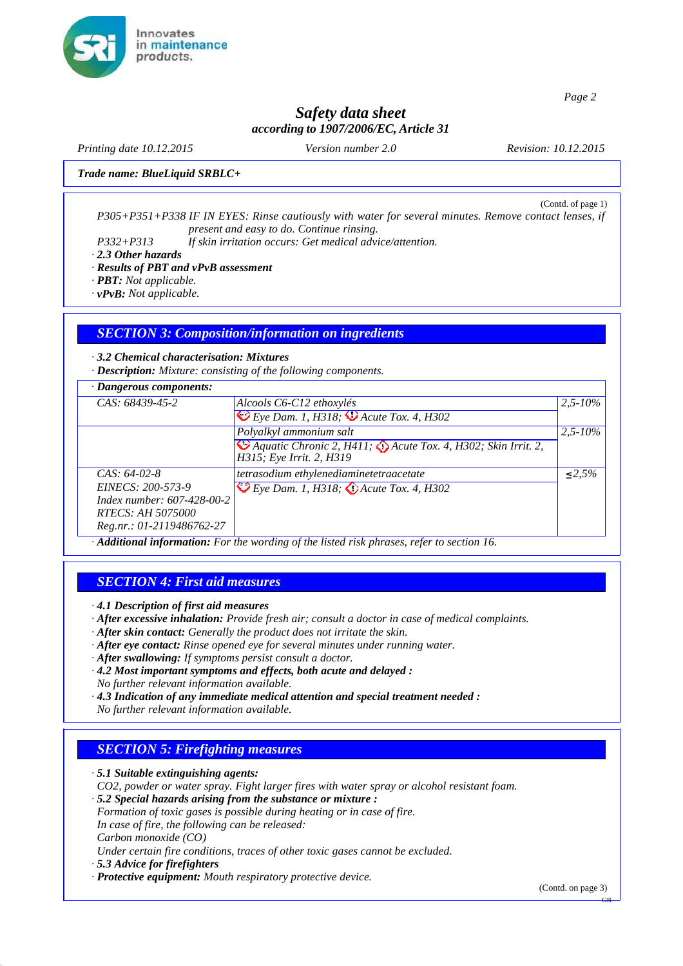

## *Safety data sheet according to 1907/2006/EC, Article 31*

*Printing date 10.12.2015 Version number 2.0 Revision: 10.12.2015*

*Trade name: BlueLiquid SRBLC+*

(Contd. of page 1) *P305+P351+P338 IF IN EYES: Rinse cautiously with water for several minutes. Remove contact lenses, if present and easy to do. Continue rinsing.*

*P332+P313 If skin irritation occurs: Get medical advice/attention.*

*· 2.3 Other hazards*

*· Results of PBT and vPvB assessment*

*· PBT: Not applicable.*

*· vPvB: Not applicable.*

## *SECTION 3: Composition/information on ingredients*

*· 3.2 Chemical characterisation: Mixtures*

*· Description: Mixture: consisting of the following components.*

| $\cdot$ Dangerous components:                                                                                              |                                                                                                                                 |              |
|----------------------------------------------------------------------------------------------------------------------------|---------------------------------------------------------------------------------------------------------------------------------|--------------|
| CAS: 68439-45-2                                                                                                            | Alcools C6-C12 ethoxylés<br>$\bigotimes E$ ye Dam. 1, H318; $\bigotimes$ Acute Tox. 4, H302                                     | $2,5 - 10\%$ |
|                                                                                                                            | Polyalkyl ammonium salt<br><sup>4</sup> Aquatic Chronic 2, H411; Acute Tox. 4, H302; Skin Irrit. 2,<br>H315; Eye Irrit. 2, H319 | $2.5 - 10\%$ |
| $CAS: 64-02-8$<br>EINECS: 200-573-9<br>Index number: 607-428-00-2<br><i>RTECS: AH 5075000</i><br>Reg.nr.: 01-2119486762-27 | tetrasodium ethylenediaminetetraacetate<br>Eye Dam. 1, H318; <i>(1) Acute Tox. 4, H302</i>                                      | $< 2.5\%$    |

*· Additional information: For the wording of the listed risk phrases, refer to section 16.*

#### *SECTION 4: First aid measures*

*· 4.1 Description of first aid measures*

- *· After excessive inhalation: Provide fresh air; consult a doctor in case of medical complaints.*
- *· After skin contact: Generally the product does not irritate the skin.*
- *· After eye contact: Rinse opened eye for several minutes under running water.*
- *· After swallowing: If symptoms persist consult a doctor.*
- *· 4.2 Most important symptoms and effects, both acute and delayed :*
- *No further relevant information available.*
- *· 4.3 Indication of any immediate medical attention and special treatment needed :*

*No further relevant information available.*

#### *SECTION 5: Firefighting measures*

*· 5.1 Suitable extinguishing agents:*

*CO2, powder or water spray. Fight larger fires with water spray or alcohol resistant foam.*

*· 5.2 Special hazards arising from the substance or mixture :* 

*Formation of toxic gases is possible during heating or in case of fire.* 

*In case of fire, the following can be released:*

*Carbon monoxide (CO)*

*Under certain fire conditions, traces of other toxic gases cannot be excluded.*

*· 5.3 Advice for firefighters*

*· Protective equipment: Mouth respiratory protective device.*

(Contd. on page 3)

GB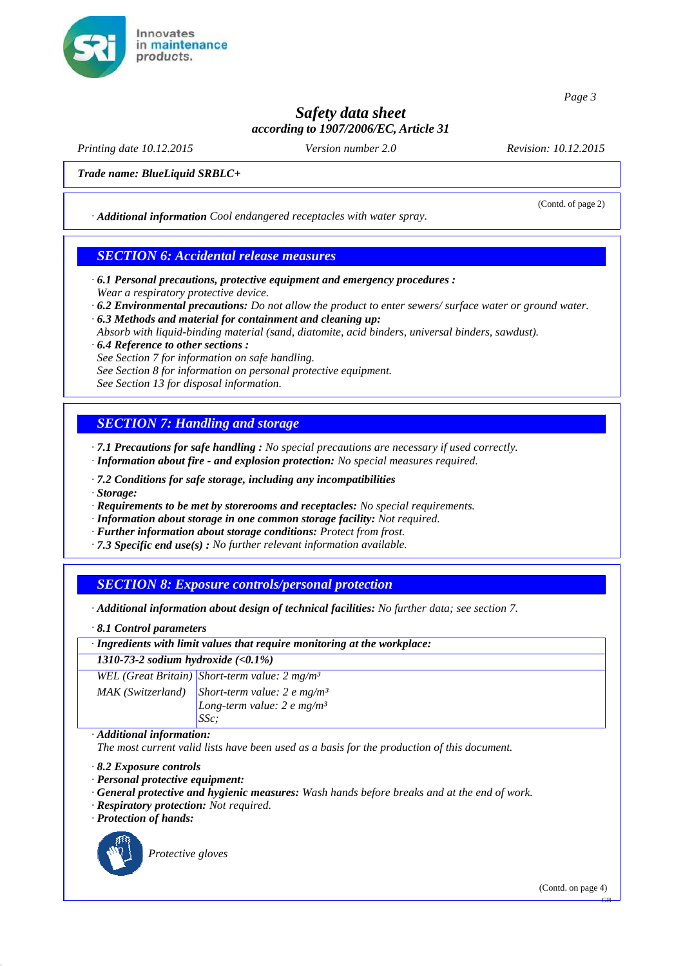

# *Safety data sheet according to 1907/2006/EC, Article 31*

*Printing date 10.12.2015 Version number 2.0 Revision: 10.12.2015*

(Contd. of page 2)

*Trade name: BlueLiquid SRBLC+*

*· Additional information Cool endangered receptacles with water spray.*

#### *SECTION 6: Accidental release measures*

- *· 6.1 Personal precautions, protective equipment and emergency procedures : Wear a respiratory protective device.*
- *· 6.2 Environmental precautions: Do not allow the product to enter sewers/ surface water or ground water.*
- *· 6.3 Methods and material for containment and cleaning up:*
- *Absorb with liquid-binding material (sand, diatomite, acid binders, universal binders, sawdust).*
- *· 6.4 Reference to other sections : See Section 7 for information on safe handling.*
- *See Section 8 for information on personal protective equipment.*

*See Section 13 for disposal information.*

## *SECTION 7: Handling and storage*

*· 7.1 Precautions for safe handling : No special precautions are necessary if used correctly. · Information about fire - and explosion protection: No special measures required.*

- *· 7.2 Conditions for safe storage, including any incompatibilities*
- *· Storage:*
- *· Requirements to be met by storerooms and receptacles: No special requirements.*
- *· Information about storage in one common storage facility: Not required.*
- *· Further information about storage conditions: Protect from frost.*
- *· 7.3 Specific end use(s) : No further relevant information available.*

## *SECTION 8: Exposure controls/personal protection*

*· Additional information about design of technical facilities: No further data; see section 7.*

*· 8.1 Control parameters*

*· Ingredients with limit values that require monitoring at the workplace:*

*1310-73-2 sodium hydroxide (<0.1%)*

*WEL (Great Britain) Short-term value: 2 mg/m³ MAK (Switzerland) Short-term value: 2 e mg/m³ Long-term value: 2 e mg/m³ SSc;*

#### *· Additional information:*

*The most current valid lists have been used as a basis for the production of this document.*

*· 8.2 Exposure controls*

- *· Personal protective equipment:*
- *· General protective and hygienic measures: Wash hands before breaks and at the end of work.*
- *· Respiratory protection: Not required.*
- *· Protection of hands:*



*Protective gloves*

GB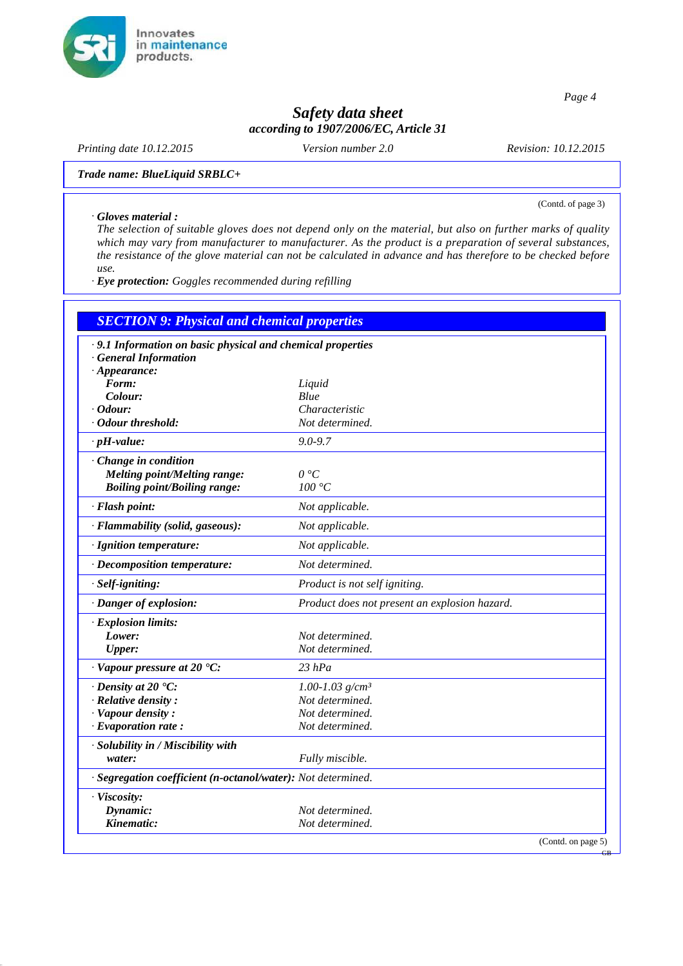

# *Safety data sheet according to 1907/2006/EC, Article 31*

*Printing date 10.12.2015 Version number 2.0 Revision: 10.12.2015*

(Contd. of page 3)

GB

*Trade name: BlueLiquid SRBLC+*

#### *· Gloves material :*

*The selection of suitable gloves does not depend only on the material, but also on further marks of quality which may vary from manufacturer to manufacturer. As the product is a preparation of several substances, the resistance of the glove material can not be calculated in advance and has therefore to be checked before use.*

*· Eye protection: Goggles recommended during refilling*

| <b>SECTION 9: Physical and chemical properties</b>           |                                               |
|--------------------------------------------------------------|-----------------------------------------------|
| · 9.1 Information on basic physical and chemical properties  |                                               |
| <b>General Information</b>                                   |                                               |
| $\cdot$ Appearance:                                          |                                               |
| Form:                                                        | Liquid                                        |
| Colour:                                                      | Blue                                          |
| $\cdot$ Odour:                                               | Characteristic                                |
| · Odour threshold:                                           | Not determined.                               |
| $\cdot$ pH-value:                                            | $9.0 - 9.7$                                   |
| · Change in condition                                        |                                               |
| Melting point/Melting range:                                 | 0 °C                                          |
| <b>Boiling point/Boiling range:</b>                          | 100 °C                                        |
| · Flash point:                                               | Not applicable.                               |
| · Flammability (solid, gaseous):                             | Not applicable.                               |
| · Ignition temperature:                                      | Not applicable.                               |
| · Decomposition temperature:                                 | Not determined.                               |
| · Self-igniting:                                             | Product is not self igniting.                 |
| · Danger of explosion:                                       | Product does not present an explosion hazard. |
| $\cdot$ Explosion limits:                                    |                                               |
| Lower:                                                       | Not determined.                               |
| <b>Upper:</b>                                                | Not determined.                               |
| $\cdot$ Vapour pressure at 20 $\cdot$ C:                     | $23$ hPa                                      |
| $\cdot$ Density at 20 $\degree$ C:                           | 1.00-1.03 $g/cm^3$                            |
| $\cdot$ Relative density:                                    | Not determined.                               |
| $\cdot$ Vapour density :                                     | Not determined.                               |
| $\cdot$ Evaporation rate:                                    | Not determined.                               |
| · Solubility in / Miscibility with                           |                                               |
| water:                                                       | Fully miscible.                               |
| · Segregation coefficient (n-octanol/water): Not determined. |                                               |
| · Viscosity:                                                 |                                               |
| Dynamic:                                                     | Not determined.                               |
| Kinematic:                                                   | Not determined.                               |
|                                                              | (Contd. on page 5)                            |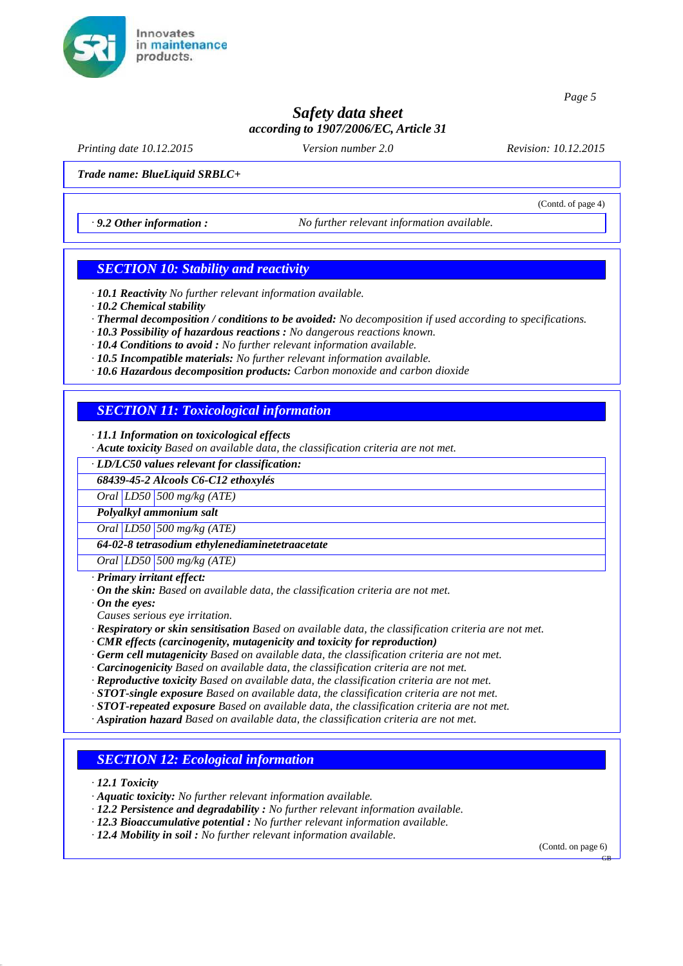

# *Safety data sheet according to 1907/2006/EC, Article 31*

*Printing date 10.12.2015 Version number 2.0 Revision: 10.12.2015*

(Contd. of page 4)

*Trade name: BlueLiquid SRBLC+*

*· 9.2 Other information : No further relevant information available.*

#### *SECTION 10: Stability and reactivity*

*· 10.1 Reactivity No further relevant information available.*

*· 10.2 Chemical stability*

*· Thermal decomposition / conditions to be avoided: No decomposition if used according to specifications.*

*· 10.3 Possibility of hazardous reactions : No dangerous reactions known.*

*· 10.4 Conditions to avoid : No further relevant information available.*

*· 10.5 Incompatible materials: No further relevant information available.*

*· 10.6 Hazardous decomposition products: Carbon monoxide and carbon dioxide*

## *SECTION 11: Toxicological information*

*· 11.1 Information on toxicological effects*

*· Acute toxicity Based on available data, the classification criteria are not met.*

*· LD/LC50 values relevant for classification:*

*68439-45-2 Alcools C6-C12 ethoxylés*

*Oral LD50 500 mg/kg (ATE)*

*Polyalkyl ammonium salt*

*Oral LD50 500 mg/kg (ATE)*

*64-02-8 tetrasodium ethylenediaminetetraacetate*

*Oral LD50 500 mg/kg (ATE)*

*· Primary irritant effect:*

*· On the skin: Based on available data, the classification criteria are not met.*

*· On the eyes:*

*Causes serious eye irritation.*

*· Respiratory or skin sensitisation Based on available data, the classification criteria are not met.*

*· CMR effects (carcinogenity, mutagenicity and toxicity for reproduction)*

*· Germ cell mutagenicity Based on available data, the classification criteria are not met.*

*· Carcinogenicity Based on available data, the classification criteria are not met.*

*· Reproductive toxicity Based on available data, the classification criteria are not met.*

*· STOT-single exposure Based on available data, the classification criteria are not met.*

*· STOT-repeated exposure Based on available data, the classification criteria are not met.*

*· Aspiration hazard Based on available data, the classification criteria are not met.*

#### *SECTION 12: Ecological information*

*· 12.1 Toxicity*

*· Aquatic toxicity: No further relevant information available.*

*· 12.2 Persistence and degradability : No further relevant information available.*

- *· 12.3 Bioaccumulative potential : No further relevant information available.*
- *· 12.4 Mobility in soil : No further relevant information available.*

(Contd. on page 6)

GB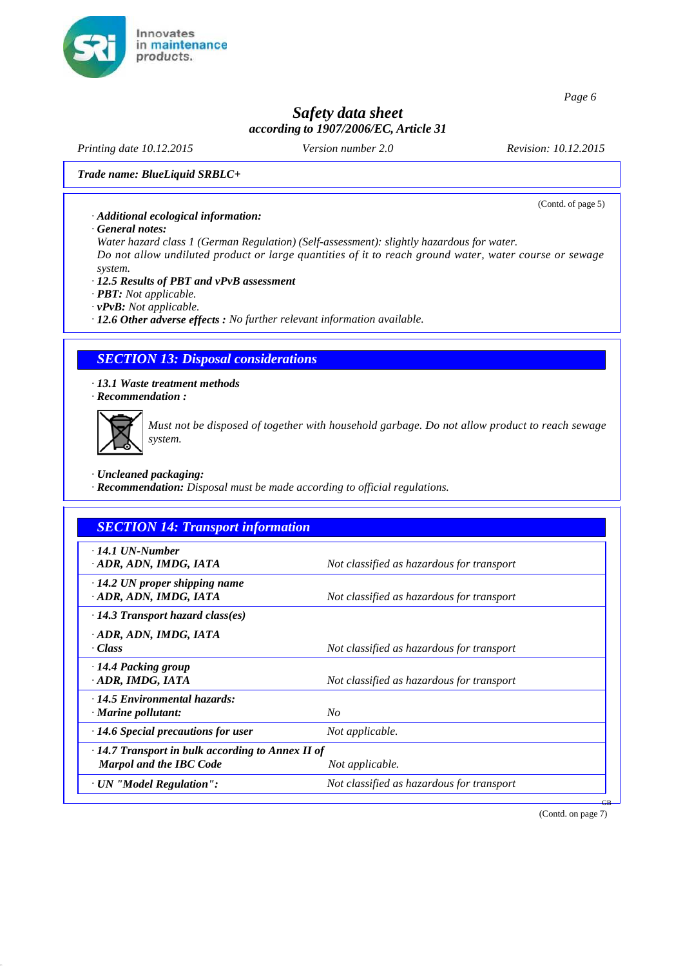

# *Safety data sheet according to 1907/2006/EC, Article 31*

*Printing date 10.12.2015 Version number 2.0 Revision: 10.12.2015*

(Contd. of page 5)

*Trade name: BlueLiquid SRBLC+*

#### *· Additional ecological information:*

*· General notes:*

*Water hazard class 1 (German Regulation) (Self-assessment): slightly hazardous for water.*

*Do not allow undiluted product or large quantities of it to reach ground water, water course or sewage system.*

#### *· 12.5 Results of PBT and vPvB assessment*

- *· PBT: Not applicable.*
- *· vPvB: Not applicable.*

*· 12.6 Other adverse effects : No further relevant information available.*

#### *SECTION 13: Disposal considerations*

*· 13.1 Waste treatment methods · Recommendation :*



*Must not be disposed of together with household garbage. Do not allow product to reach sewage system.*

*· Uncleaned packaging:*

*· Recommendation: Disposal must be made according to official regulations.*

| <b>SECTION 14: Transport information</b>                         |                                           |
|------------------------------------------------------------------|-------------------------------------------|
| $\cdot$ 14.1 UN-Number<br>· ADR, ADN, IMDG, IATA                 | Not classified as hazardous for transport |
| $\cdot$ 14.2 UN proper shipping name<br>ADR, ADN, IMDG, IATA     | Not classified as hazardous for transport |
| $\cdot$ 14.3 Transport hazard class(es)                          |                                           |
| ADR, ADN, IMDG, IATA<br>· Class                                  | Not classified as hazardous for transport |
| $\cdot$ 14.4 Packing group<br>ADR, IMDG, IATA                    | Not classified as hazardous for transport |
| $\cdot$ 14.5 Environmental hazards:<br>$\cdot$ Marine pollutant: | $N_{O}$                                   |
| $\cdot$ 14.6 Special precautions for user                        | Not applicable.                           |
| $\cdot$ 14.7 Transport in bulk according to Annex II of          |                                           |
| <b>Marpol and the IBC Code</b>                                   | Not applicable.                           |
| · UN "Model Regulation":                                         | Not classified as hazardous for transport |

(Contd. on page 7)